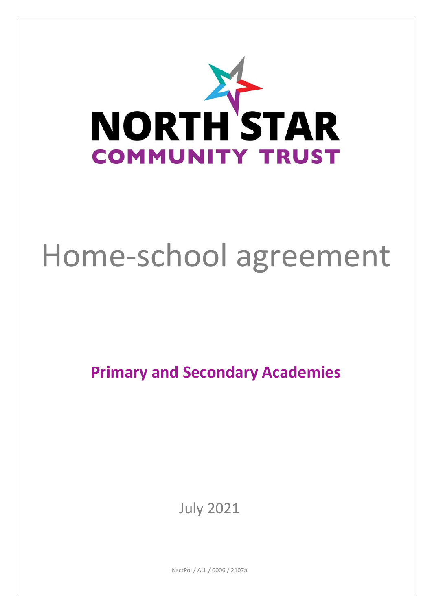

# Home-school agreement

**Primary and Secondary Academies**

July 2021

NsctPol / ALL / 0006 / 2107a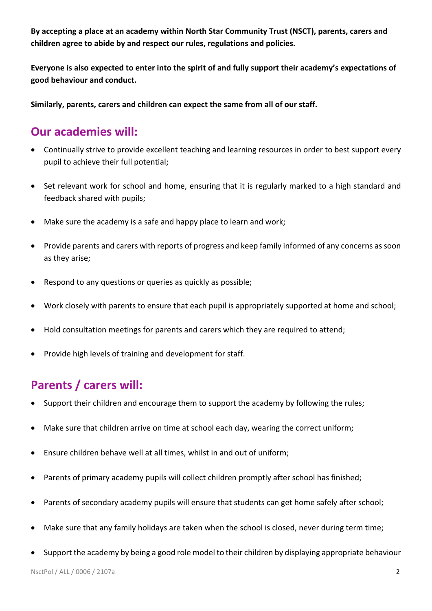**By accepting a place at an academy within North Star Community Trust (NSCT), parents, carers and children agree to abide by and respect our rules, regulations and policies.**

**Everyone is also expected to enter into the spirit of and fully support their academy's expectations of good behaviour and conduct.**

**Similarly, parents, carers and children can expect the same from all of our staff.**

### **Our academies will:**

- Continually strive to provide excellent teaching and learning resources in order to best support every pupil to achieve their full potential;
- Set relevant work for school and home, ensuring that it is regularly marked to a high standard and feedback shared with pupils;
- Make sure the academy is a safe and happy place to learn and work;
- Provide parents and carers with reports of progress and keep family informed of any concerns as soon as they arise;
- Respond to any questions or queries as quickly as possible;
- Work closely with parents to ensure that each pupil is appropriately supported at home and school;
- Hold consultation meetings for parents and carers which they are required to attend:
- Provide high levels of training and development for staff.

## **Parents / carers will:**

- Support their children and encourage them to support the academy by following the rules;
- Make sure that children arrive on time at school each day, wearing the correct uniform;
- Ensure children behave well at all times, whilst in and out of uniform;
- Parents of primary academy pupils will collect children promptly after school has finished;
- Parents of secondary academy pupils will ensure that students can get home safely after school;
- Make sure that any family holidays are taken when the school is closed, never during term time;
- Support the academy by being a good role model to their children by displaying appropriate behaviour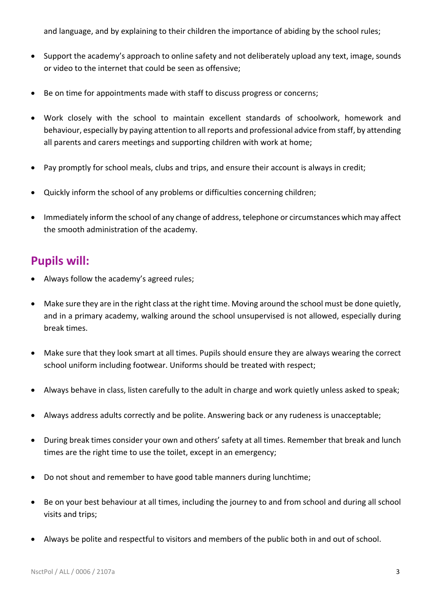and language, and by explaining to their children the importance of abiding by the school rules;

- Support the academy's approach to online safety and not deliberately upload any text, image, sounds or video to the internet that could be seen as offensive;
- Be on time for appointments made with staff to discuss progress or concerns;
- Work closely with the school to maintain excellent standards of schoolwork, homework and behaviour, especially by paying attention to all reports and professional advice from staff, by attending all parents and carers meetings and supporting children with work at home;
- Pay promptly for school meals, clubs and trips, and ensure their account is always in credit;
- Quickly inform the school of any problems or difficulties concerning children;
- Immediately inform the school of any change of address, telephone or circumstances which may affect the smooth administration of the academy.

#### **Pupils will:**

- Always follow the academy's agreed rules;
- Make sure they are in the right class at the right time. Moving around the school must be done quietly, and in a primary academy, walking around the school unsupervised is not allowed, especially during break times.
- Make sure that they look smart at all times. Pupils should ensure they are always wearing the correct school uniform including footwear. Uniforms should be treated with respect;
- Always behave in class, listen carefully to the adult in charge and work quietly unless asked to speak;
- Always address adults correctly and be polite. Answering back or any rudeness is unacceptable;
- During break times consider your own and others' safety at all times. Remember that break and lunch times are the right time to use the toilet, except in an emergency;
- Do not shout and remember to have good table manners during lunchtime;
- Be on your best behaviour at all times, including the journey to and from school and during all school visits and trips;
- Always be polite and respectful to visitors and members of the public both in and out of school.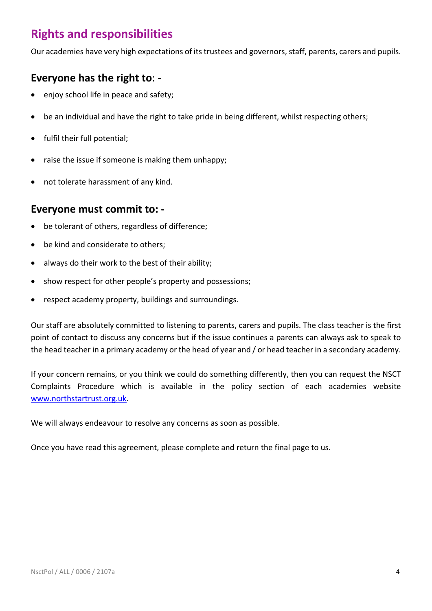## **Rights and responsibilities**

Our academies have very high expectations of its trustees and governors, staff, parents, carers and pupils.

#### **Everyone has the right to**: -

- enjoy school life in peace and safety;
- be an individual and have the right to take pride in being different, whilst respecting others;
- fulfil their full potential;
- raise the issue if someone is making them unhappy;
- not tolerate harassment of any kind.

#### **Everyone must commit to: -**

- be tolerant of others, regardless of difference;
- be kind and considerate to others;
- always do their work to the best of their ability;
- show respect for other people's property and possessions;
- respect academy property, buildings and surroundings.

Our staff are absolutely committed to listening to parents, carers and pupils. The class teacher is the first point of contact to discuss any concerns but if the issue continues a parents can always ask to speak to the head teacher in a primary academy or the head of year and / or head teacher in a secondary academy.

If your concern remains, or you think we could do something differently, then you can request the NSCT Complaints Procedure which is available in the policy section of each academies website [www.northstartrust.org.uk.](http://www.northstartrust.org.uk/)

We will always endeavour to resolve any concerns as soon as possible.

Once you have read this agreement, please complete and return the final page to us.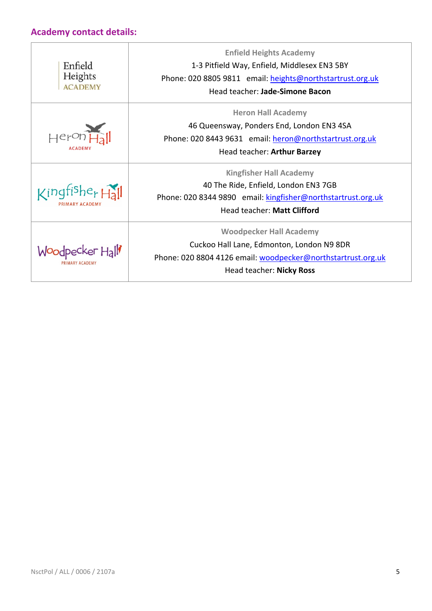#### **Academy contact details:**

| Enfield<br>Heights<br><b>ACADEMY</b>   | <b>Enfield Heights Academy</b><br>1-3 Pitfield Way, Enfield, Middlesex EN3 5BY<br>Phone: 020 8805 9811 email: heights@northstartrust.org.uk<br>Head teacher: Jade-Simone Bacon |  |
|----------------------------------------|--------------------------------------------------------------------------------------------------------------------------------------------------------------------------------|--|
|                                        | <b>Heron Hall Academy</b><br>46 Queensway, Ponders End, London EN3 4SA<br>Phone: 020 8443 9631 email: heron@northstartrust.org.uk<br>Head teacher: Arthur Barzey               |  |
| $\zeta$ ingfishe <sub>r</sub> $H_2$ il | <b>Kingfisher Hall Academy</b><br>40 The Ride, Enfield, London EN3 7GB<br>Phone: 020 8344 9890 email: kingfisher@northstartrust.org.uk<br>Head teacher: Matt Clifford          |  |
| adpecker Hall                          | <b>Woodpecker Hall Academy</b><br>Cuckoo Hall Lane, Edmonton, London N9 8DR<br>Phone: 020 8804 4126 email: woodpecker@northstartrust.org.uk<br>Head teacher: Nicky Ross        |  |